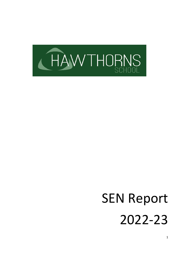

# SEN Report 2022-23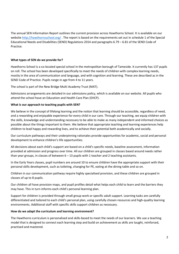The annual SEN Information Report outlines the current provision across Hawthorns School. It is available on our websit[e http://hawthornsschool.org/](http://hawthornsschool.org/) . The report is based on the requirements set out in schedule 1 of the Special Educational Needs and Disabilities (SEND) Regulations 2014 and paragraphs 6.79 – 6.81 of the SEND Code of Practice.

# **What types of SEN do we provide for?**

Hawthorns School is a co-located special school in the metropolitan borough of Tameside. It currently has 137 pupils on roll. The school has been developed specifically to meet the needs of children with complex learning needs, mostly in the area of communication and language, and with cognition and learning. These are described as in the SEND Code of Practice. Pupils range in age from 4 to 11 years.

The school is part of the New Bridge Multi Academy Trust (MAT).

Admissions arrangements are detailed in our admissions policy, which is available on our website. All pupils who attend the school have an Education and Health Care Plan (EHCP).

#### **What is our approach to teaching pupils with SEN?**

We believe in the concept of lifelong learning and the notion that learning should be accessible, regardless of need, and a rewarding and enjoyable experience for every child in our care. Through our teaching, we equip children with the skills, knowledge and understanding necessary to be able to make as many independent and informed choices as possible about the things important to them. We believe that appropriate teaching and learning experiences help children to lead happy and rewarding lives, and to achieve their potential both academically and socially.

Our curriculum pathways and their underpinning rationales provide opportunities for academic, social and personal development to enhance children's life opportunities.

All decisions about each child's support are based on a child's specific needs, baseline assessment, information provided at admission and progress over time. All our children are grouped in classes based around needs rather than year groups, in classes of between  $6 - 13$  pupils with 1 teacher and 2 teaching assistants.

In the Early Years classes, pupil numbers are around 10 to ensure children have the appropriate support with their personal skills development, such as toileting, changing for PE, eating at the dining table and so on.

Children in our communication pathway require highly specialised provision, and these children are grouped in classes of up to 8 pupils.

Our children all have provision maps, and pupil profiles detail what helps each child to learn and the barriers they may have. This in turn informs each child's personal learning plan.

Support for children is provided through small group work or specific adult support. Learning tasks are carefully differentiated and tailored to each child's personal plan, using carefully chosen resources and high-quality learning environments. Additional staff with specific skills support children as necessary.

#### **How do we adapt the curriculum and learning environment?**

The Hawthorns curriculum is personalised and skills-based to meet the needs of our learners. We use a teaching model that is designed to connect each learning step and build on achievement as skills are taught, reinforced, practised and mastered.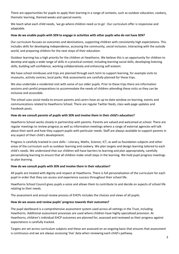There are opportunities for pupils to apply their learning in a range of contexts, such as outdoor education, cookery, thematic learning, themed weeks and special events.

We teach what each child needs, 'we go where children need us to go'. Our curriculum offer is responsive and adaptable.

## **How do we enable pupils with SEN to engage in activities with other pupils who do not have SEN?**

Our curriculum focuses on outcomes and destinations, supporting children with consistently high expectations. This includes skills for developing independence, accessing the community, social inclusion, interacting with the outside world, and preparing children for the next steps of their education.

Outdoor learning has a high priority for the children at Hawthorns. We believe this is an opportunity for children to develop and apply a wide range of skills in a practical context, including learning social skills, developing listening skills, building self-confidence, working collaboratively and enhancing self-esteem.

We have school minibuses and trips are planned through each term to support learning, for example visits to museums, activity centres, local parks. Risk assessments are carefully planned for these trips.

We also undertake a residential visit with some of our older pupils. Prior to these trips there are information sessions and careful preparations to accommodate the needs of children attending these visits so they can be inclusive and accessible.

The school uses social media to ensure parents and carers have an up-to-date window on learning, events and communications related to Hawthorns School. There are regular Twitter feeds, class web-page updates and Facebook posts.

## **How do we consult parents of pupils with SEN and involve them in their child's education?**

Hawthorns School works closely in partnership with parents. Parents are valued and welcomed at school. There are regular meetings to review progress as well as information meetings where a range of external agencies will talk about their work and how they support pupils with particular needs. Staff are always available to support parents in any aspect of their child's development.

Progress is carefully tracked in core skills – Literacy, Maths, Science, ICT, as well as foundation subjects and other areas of the curriculum such as outdoor learning and cookery. We plan targets and design learning tailored to each child's needs. We understand that our children will have barriers to learning and plan appropriately, carefully personalising learning to ensure that all children make small steps in the learning. We hold pupil progress meetings to plan learning.

#### **How do we consult pupils with SEN and involve them in their education?**

All pupils are treated with dignity and respect at Hawthorns. There is full personalisation of the curriculum for each pupil in order that they can access and experience success throughout their school life.

Hawthorns School Council gives pupils a voice and allows them to contribute to and decide on aspects of school life relating to their needs.

The assessment and annual review process of EHCPs includes the choices and views of all pupils.

# **How do we assess and review pupils' progress towards their outcomes?**

The pupil dashboard is a comprehensive assessment system used across all settings in the Trust, including Hawthorns. Additional assessment processes are used where children have highly specialised provision. At Hawthorns, children's individual EHCP outcomes are planned for, assessed and reviewed so their progress against expectations is carefully tracked.

Targets are set across curriculum subjects and these are assessed on an ongoing basis that ensures that assessment is continuous and we are always accessing 'live' data when reviewing each child's pathway.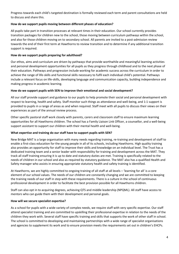Progress towards each child's targeted destination is formally reviewed each term and parent consultations are held to discuss and share this.

# **How do we support pupils moving between different phases of education?**

All pupils take part in transition processes at relevant times in their education. Our school currently provides transition packages for children new to the school, those moving between curriculum pathways within the school, and also for those children moving on to secondary school. All parents are invited to a post-admission review towards the end of their first term at Hawthorns to review transition and to determine if any additional transition support is required.

# **How do we support pupils preparing for adulthood?**

Our ethos, aims and curriculum are driven by pathways that provide worthwhile and meaningful learning activities and personal development opportunities for all pupils as they progress through childhood and to the next phase of their education. Pathways and progression include working for academic success across the curriculum in order to achieve the range of life-skills and functional skills necessary to fulfil each individual child's potential. Pathways include a relevant focus on life-skills, developing language and communication capacity, building independence and making progress in academic learning.

# **How do we support pupils with SEN to improve their emotional and social development?**

All our staff provide support and guidance to our pupils to help promote their social and personal development with respect to learning, health and safety. Staff monitor such things as attendance and well-being, and 1:1 support is provided to pupils in a range of areas as and when required. Staff meet with all pupils to discuss their views on their experiences as part of the annual review process.

Other specific pastoral staff work closely with parents, carers and classroom staff to ensure maximum learning opportunities for all Hawthorns children. The school has a Family Liaison Link Officer, a counsellor, and a well-being support assistant to support our children with their mental health and well-being.

# **What expertise and training do our staff have to support pupils with SEN?**

New Bridge MAT is a large organisation with many needs regarding training, re-training and development of staff to enable a first-class education for the young people in all of its schools, including Hawthorns. High quality training also provides an opportunity for staff to improve their skills and knowledge on an individual level. The Trust has a dedicated training team and a senior leader with responsibility for training and development across the MAT. They track all staff training ensuring it is up to date and statutory duties are met. Training is specifically related to the needs of children in our school and also as required by statutory guidance. The MAT also has a qualified Health and Safety manager who assists in ensuring appropriate statutory health and safety training is identified.

At Hawthorns, we are highly committed to ongoing training of all staff at all levels – 'learning for all' is a core element of our school values. The needs of our children are constantly changing and we are committed to keeping the training needs of our staff in step with these requirements. There is a culture in the school of continuous professional development in order to facilitate the best provision possible for all Hawthorns children.

Staff can also opt in to acquiring degrees, achieving QTS and middle leadership (NPQML). All staff have access to mentors who can guide them with their development and personal goals.

# **How will we secure specialist expertise?**

As a school for pupils with a wide variety of complex needs, we require staff with very specific expertise. Our staff attend specialist training and are committed to upskilling their professional expertise in relation to the needs of the children they work with. Several staff have specific training and skills that supports the work of other staff in school. The school is committed to developing and maintaining partnerships with a wide range of specialist organisations and agencies to supplement its work and to ensure provision meets the requirements set out in children's EHCPs.